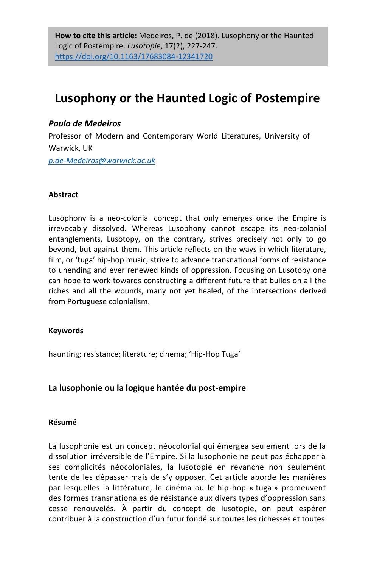**How to cite this article:** Medeiros, P. de (2018). Lusophony or the Haunted Logic of Postempire. *Lusotopie*, 17(2), 227-247. <https://doi.org/10.1163/17683084-12341720>

# **Lusophony or the Haunted Logic of Postempire**

# *Paulo de Medeiros*

Professor of Modern and Contemporary World Literatures, University of Warwick, UK *<p.de-Medeiros@warwick.ac.uk>*

## **Abstract**

Lusophony is a neo-colonial concept that only emerges once the Empire is irrevocably dissolved. Whereas Lusophony cannot escape its neo-colonial entanglements, Lusotopy, on the contrary, strives precisely not only to go beyond, but against them. This article reflects on the ways in which literature, film, or 'tuga' hip-hop music, strive to advance transnational forms of resistance to unending and ever renewed kinds of oppression. Focusing on Lusotopy one can hope to work towards constructing a different future that builds on all the riches and all the wounds, many not yet healed, of the intersections derived from Portuguese colonialism.

## **Keywords**

haunting; resistance; literature; cinema; 'Hip-Hop Tuga'

# **La lusophonie ou la logique hantée du post-empire**

## **Résumé**

La lusophonie est un concept néocolonial qui émergea seulement lors de la dissolution irréversible de l'Empire. Si la lusophonie ne peut pas échapper à ses complicités néocoloniales, la lusotopie en revanche non seulement tente de les dépasser mais de s'y opposer. Cet article aborde les manières par lesquelles la littérature, le cinéma ou le hip-hop « tuga » promeuvent des formes transnationales de résistance aux divers types d'oppression sans cesse renouvelés. À partir du concept de lusotopie, on peut espérer contribuer à la construction d'un futur fondé sur toutes les richesses et toutes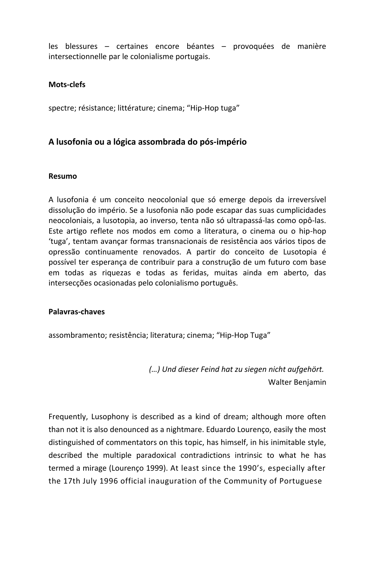les blessures – certaines encore béantes – provoquées de manière intersectionnelle par le colonialisme portugais.

## **Mots-clefs**

spectre; résistance; littérature; cinema; "Hip-Hop tuga"

# **A lusofonia ou a lógica assombrada do pós-império**

#### **Resumo**

A lusofonia é um conceito neocolonial que só emerge depois da irreversível dissolução do império. Se a lusofonia não pode escapar das suas cumplicidades neocoloniais, a lusotopia, ao inverso, tenta não só ultrapassá-las como opô-las. Este artigo reflete nos modos em como a literatura, o cinema ou o hip-hop 'tuga', tentam avançar formas transnacionais de resistência aos vários tipos de opressão continuamente renovados. A partir do conceito de Lusotopia é possível ter esperança de contribuir para a construção de um futuro com base em todas as riquezas e todas as feridas, muitas ainda em aberto, das intersecções ocasionadas pelo colonialismo português.

#### **Palavras-chaves**

assombramento; resistência; literatura; cinema; "Hip-Hop Tuga"

*(…) Und dieser Feind hat zu siegen nicht aufgehört.* Walter Benjamin

Frequently, Lusophony is described as a kind of dream; although more often than not it is also denounced as a nightmare. Eduardo Lourenço, easily the most distinguished of commentators on this topic, has himself, in his inimitable style, described the multiple paradoxical contradictions intrinsic to what he has termed a mirage (Lourenço 1999). At least since the 1990's, especially after the 17th July 1996 official inauguration of the Community of Portuguese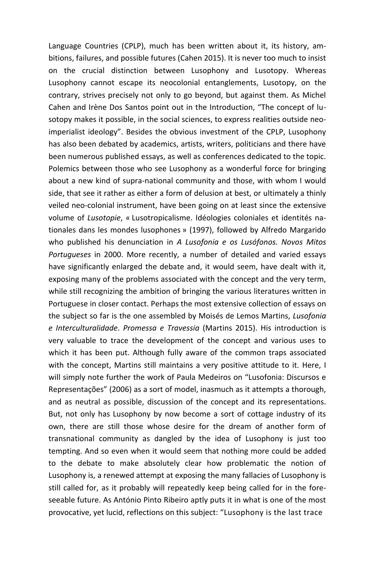Language Countries (CPLP), much has been written about it, its history, ambitions, failures, and possible futures (Cahen 2015). It is never too much to insist on the crucial distinction between Lusophony and Lusotopy. Whereas Lusophony cannot escape its neocolonial entanglements, Lusotopy, on the contrary, strives precisely not only to go beyond, but against them. As Michel Cahen and Irène Dos Santos point out in the Introduction, "The concept of lusotopy makes it possible, in the social sciences, to express realities outside neoimperialist ideology". Besides the obvious investment of the CPLP, Lusophony has also been debated by academics, artists, writers, politicians and there have been numerous published essays, as well as conferences dedicated to the topic. Polemics between those who see Lusophony as a wonderful force for bringing about a new kind of supra-national community and those, with whom I would side, that see it rather as either a form of delusion at best, or ultimately a thinly veiled neo-colonial instrument, have been going on at least since the extensive volume of *Lusotopie*, « Lusotropicalisme. Idéologies coloniales et identités nationales dans les mondes lusophones » (1997), followed by Alfredo Margarido who published his denunciation in *A Lusofonia e os Lusófonos. Novos Mitos Portugueses* in 2000. More recently, a number of detailed and varied essays have significantly enlarged the debate and, it would seem, have dealt with it, exposing many of the problems associated with the concept and the very term, while still recognizing the ambition of bringing the various literatures written in Portuguese in closer contact. Perhaps the most extensive collection of essays on the subject so far is the one assembled by Moisés de Lemos Martins, *Lusofonia e Interculturalidade*. *Promessa e Travessia* (Martins 2015). His introduction is very valuable to trace the development of the concept and various uses to which it has been put. Although fully aware of the common traps associated with the concept, Martins still maintains a very positive attitude to it. Here, I will simply note further the work of Paula Medeiros on "Lusofonia: Discursos e Representações" (2006) as a sort of model, inasmuch as it attempts a thorough, and as neutral as possible, discussion of the concept and its representations. But, not only has Lusophony by now become a sort of cottage industry of its own, there are still those whose desire for the dream of another form of transnational community as dangled by the idea of Lusophony is just too tempting. And so even when it would seem that nothing more could be added to the debate to make absolutely clear how problematic the notion of Lusophony is, a renewed attempt at exposing the many fallacies of Lusophony is still called for, as it probably will repeatedly keep being called for in the foreseeable future. As António Pinto Ribeiro aptly puts it in what is one of the most provocative, yet lucid, reflections on this subject: "Lusophony is the last trace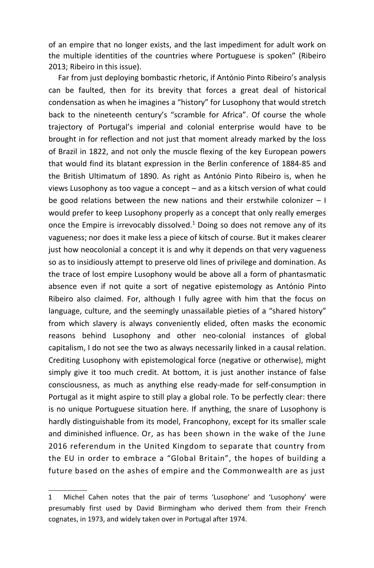of an empire that no longer exists, and the last impediment for adult work on the multiple identities of the countries where Portuguese is spoken" (Ribeiro 2013; Ribeiro in this issue).

Far from just deploying bombastic rhetoric, if António Pinto Ribeiro's analysis can be faulted, then for its brevity that forces a great deal of historical condensation as when he imagines a "history" for Lusophony that would stretch back to the nineteenth century's "scramble for Africa". Of course the whole trajectory of Portugal's imperial and colonial enterprise would have to be brought in for reflection and not just that moment already marked by the loss of Brazil in 1822, and not only the muscle flexing of the key European powers that would find its blatant expression in the Berlin conference of 1884-85 and the British Ultimatum of 1890. As right as António Pinto Ribeiro is, when he views Lusophony as too vague a concept – and as a kitsch version of what could be good relations between the new nations and their erstwhile colonizer – I would prefer to keep Lusophony properly as a concept that only really emerges once the Empire is irrevocably dissolved. $1$  Doing so does not remove any of its vagueness; nor does it make less a piece of kitsch of course. But it makes clearer just how neocolonial a concept it is and why it depends on that very vagueness so as to insidiously attempt to preserve old lines of privilege and domination. As the trace of lost empire Lusophony would be above all a form of phantasmatic absence even if not quite a sort of negative epistemology as António Pinto Ribeiro also claimed. For, although I fully agree with him that the focus on language, culture, and the seemingly unassailable pieties of a "shared history" from which slavery is always conveniently elided, often masks the economic reasons behind Lusophony and other neo-colonial instances of global capitalism, I do not see the two as always necessarily linked in a causal relation. Crediting Lusophony with epistemological force (negative or otherwise), might simply give it too much credit. At bottom, it is just another instance of false consciousness, as much as anything else ready-made for self-consumption in Portugal as it might aspire to still play a global role. To be perfectly clear: there is no unique Portuguese situation here. If anything, the snare of Lusophony is hardly distinguishable from its model, Francophony, except for its smaller scale and diminished influence. Or, as has been shown in the wake of the June 2016 referendum in the United Kingdom to separate that country from the EU in order to embrace a "Global Britain", the hopes of building a future based on the ashes of empire and the Commonwealth are as just

<sup>1</sup> Michel Cahen notes that the pair of terms 'Lusophone' and 'Lusophony' were presumably first used by David Birmingham who derived them from their French cognates, in 1973, and widely taken over in Portugal after 1974.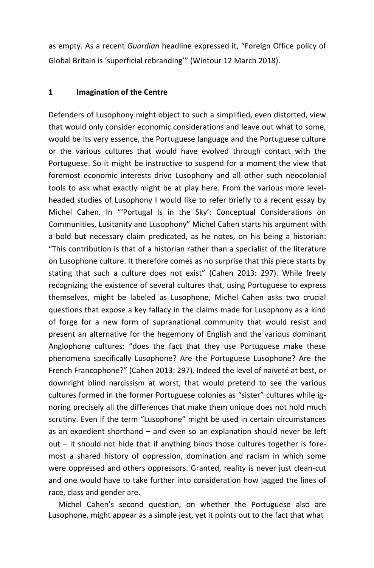as empty. As a recent *Guardian* headline expressed it, "Foreign Office policy of Global Britain is 'superficial rebranding'" (Wintour 12 March 2018).

#### **1 Imagination of the Centre**

Defenders of Lusophony might object to such a simplified, even distorted, view that would only consider economic considerations and leave out what to some, would be its very essence, the Portuguese language and the Portuguese culture or the various cultures that would have evolved through contact with the Portuguese. So it might be instructive to suspend for a moment the view that foremost economic interests drive Lusophony and all other such neocolonial tools to ask what exactly might be at play here. From the various more levelheaded studies of Lusophony I would like to refer briefly to a recent essay by Michel Cahen. In "'Portugal Is in the Sky': Conceptual Considerations on Communities, Lusitanity and Lusophony" Michel Cahen starts his argument with a bold but necessary claim predicated, as he notes, on his being a historian: "This contribution is that of a historian rather than a specialist of the literature on Lusophone culture. It therefore comes as no surprise that this piece starts by stating that such a culture does not exist" (Cahen 2013: 297). While freely recognizing the existence of several cultures that, using Portuguese to express themselves, might be labeled as Lusophone, Michel Cahen asks two crucial questions that expose a key fallacy in the claims made for Lusophony as a kind of forge for a new form of supranational community that would resist and present an alternative for the hegemony of English and the various dominant Anglophone cultures: "does the fact that they use Portuguese make these phenomena specifically Lusophone? Are the Portuguese Lusophone? Are the French Francophone?" (Cahen 2013: 297). Indeed the level of naïveté at best, or downright blind narcissism at worst, that would pretend to see the various cultures formed in the former Portuguese colonies as "sister" cultures while ignoring precisely all the differences that make them unique does not hold much scrutiny. Even if the term "Lusophone" might be used in certain circumstances as an expedient shorthand – and even so an explanation should never be left out – it should not hide that if anything binds those cultures together is foremost a shared history of oppression, domination and racism in which some were oppressed and others oppressors. Granted, reality is never just clean-cut and one would have to take further into consideration how jagged the lines of race, class and gender are.

Michel Cahen's second question, on whether the Portuguese also are Lusophone, might appear as a simple jest, yet it points out to the fact that what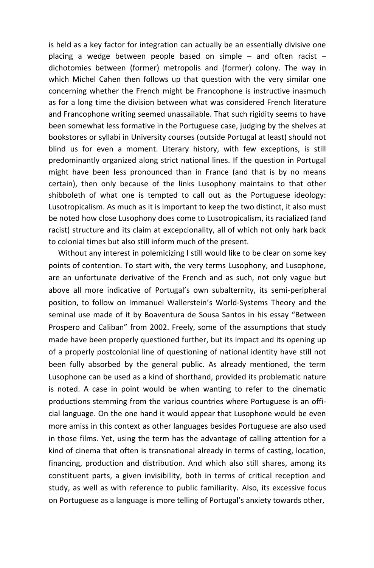is held as a key factor for integration can actually be an essentially divisive one placing a wedge between people based on simple – and often racist – dichotomies between (former) metropolis and (former) colony. The way in which Michel Cahen then follows up that question with the very similar one concerning whether the French might be Francophone is instructive inasmuch as for a long time the division between what was considered French literature and Francophone writing seemed unassailable. That such rigidity seems to have been somewhat less formative in the Portuguese case, judging by the shelves at bookstores or syllabi in University courses (outside Portugal at least) should not blind us for even a moment. Literary history, with few exceptions, is still predominantly organized along strict national lines. If the question in Portugal might have been less pronounced than in France (and that is by no means certain), then only because of the links Lusophony maintains to that other shibboleth of what one is tempted to call out as the Portuguese ideology: Lusotropicalism. As much as it is important to keep the two distinct, it also must be noted how close Lusophony does come to Lusotropicalism, its racialized (and racist) structure and its claim at excepcionality, all of which not only hark back to colonial times but also still inform much of the present.

Without any interest in polemicizing I still would like to be clear on some key points of contention. To start with, the very terms Lusophony, and Lusophone, are an unfortunate derivative of the French and as such, not only vague but above all more indicative of Portugal's own subalternity, its semi-peripheral position, to follow on Immanuel Wallerstein's World-Systems Theory and the seminal use made of it by Boaventura de Sousa Santos in his essay "Between Prospero and Caliban" from 2002. Freely, some of the assumptions that study made have been properly questioned further, but its impact and its opening up of a properly postcolonial line of questioning of national identity have still not been fully absorbed by the general public. As already mentioned, the term Lusophone can be used as a kind of shorthand, provided its problematic nature is noted. A case in point would be when wanting to refer to the cinematic productions stemming from the various countries where Portuguese is an official language. On the one hand it would appear that Lusophone would be even more amiss in this context as other languages besides Portuguese are also used in those films. Yet, using the term has the advantage of calling attention for a kind of cinema that often is transnational already in terms of casting, location, financing, production and distribution. And which also still shares, among its constituent parts, a given invisibility, both in terms of critical reception and study, as well as with reference to public familiarity. Also, its excessive focus on Portuguese as a language is more telling of Portugal's anxiety towards other,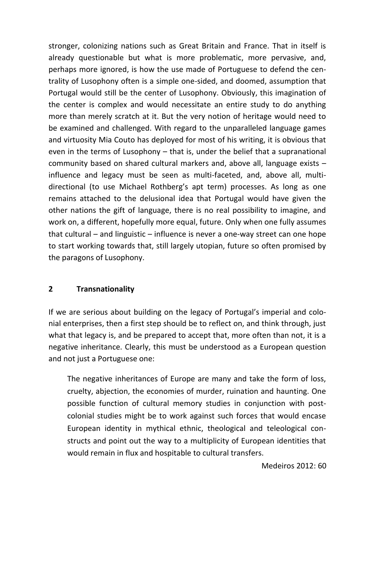stronger, colonizing nations such as Great Britain and France. That in itself is already questionable but what is more problematic, more pervasive, and, perhaps more ignored, is how the use made of Portuguese to defend the centrality of Lusophony often is a simple one-sided, and doomed, assumption that Portugal would still be the center of Lusophony. Obviously, this imagination of the center is complex and would necessitate an entire study to do anything more than merely scratch at it. But the very notion of heritage would need to be examined and challenged. With regard to the unparalleled language games and virtuosity Mia Couto has deployed for most of his writing, it is obvious that even in the terms of Lusophony – that is, under the belief that a supranational community based on shared cultural markers and, above all, language exists – influence and legacy must be seen as multi-faceted, and, above all, multidirectional (to use Michael Rothberg's apt term) processes. As long as one remains attached to the delusional idea that Portugal would have given the other nations the gift of language, there is no real possibility to imagine, and work on, a different, hopefully more equal, future. Only when one fully assumes that cultural – and linguistic – influence is never a one-way street can one hope to start working towards that, still largely utopian, future so often promised by the paragons of Lusophony.

# **2 Transnationality**

If we are serious about building on the legacy of Portugal's imperial and colonial enterprises, then a first step should be to reflect on, and think through, just what that legacy is, and be prepared to accept that, more often than not, it is a negative inheritance. Clearly, this must be understood as a European question and not just a Portuguese one:

The negative inheritances of Europe are many and take the form of loss, cruelty, abjection, the economies of murder, ruination and haunting. One possible function of cultural memory studies in conjunction with postcolonial studies might be to work against such forces that would encase European identity in mythical ethnic, theological and teleological constructs and point out the way to a multiplicity of European identities that would remain in flux and hospitable to cultural transfers.

Medeiros 2012: 60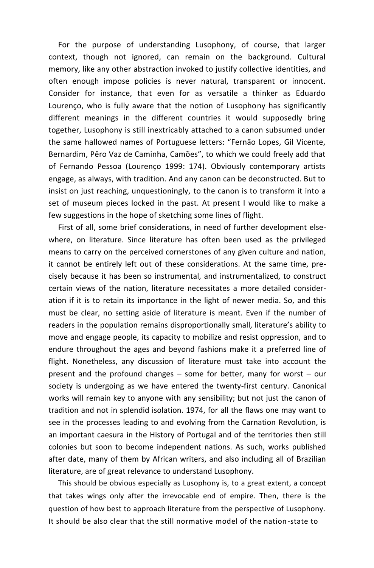For the purpose of understanding Lusophony, of course, that larger context, though not ignored, can remain on the background. Cultural memory, like any other abstraction invoked to justify collective identities, and often enough impose policies is never natural, transparent or innocent. Consider for instance, that even for as versatile a thinker as Eduardo Lourenço, who is fully aware that the notion of Lusophony has significantly different meanings in the different countries it would supposedly bring together, Lusophony is still inextricably attached to a canon subsumed under the same hallowed names of Portuguese letters: "Fernão Lopes, Gil Vicente, Bernardim, Pêro Vaz de Caminha, Camões", to which we could freely add that of Fernando Pessoa (Lourenço 1999: 174). Obviously contemporary artists engage, as always, with tradition. And any canon can be deconstructed. But to insist on just reaching, unquestioningly, to the canon is to transform it into a set of museum pieces locked in the past. At present I would like to make a few suggestions in the hope of sketching some lines of flight.

First of all, some brief considerations, in need of further development elsewhere, on literature. Since literature has often been used as the privileged means to carry on the perceived cornerstones of any given culture and nation, it cannot be entirely left out of these considerations. At the same time, precisely because it has been so instrumental, and instrumentalized, to construct certain views of the nation, literature necessitates a more detailed consideration if it is to retain its importance in the light of newer media. So, and this must be clear, no setting aside of literature is meant. Even if the number of readers in the population remains disproportionally small, literature's ability to move and engage people, its capacity to mobilize and resist oppression, and to endure throughout the ages and beyond fashions make it a preferred line of flight. Nonetheless, any discussion of literature must take into account the present and the profound changes – some for better, many for worst – our society is undergoing as we have entered the twenty-first century. Canonical works will remain key to anyone with any sensibility; but not just the canon of tradition and not in splendid isolation. 1974, for all the flaws one may want to see in the processes leading to and evolving from the Carnation Revolution, is an important caesura in the History of Portugal and of the territories then still colonies but soon to become independent nations. As such, works published after date, many of them by African writers, and also including all of Brazilian literature, are of great relevance to understand Lusophony.

This should be obvious especially as Lusophony is, to a great extent, a concept that takes wings only after the irrevocable end of empire. Then, there is the question of how best to approach literature from the perspective of Lusophony. It should be also clear that the still normative model of the nation-state to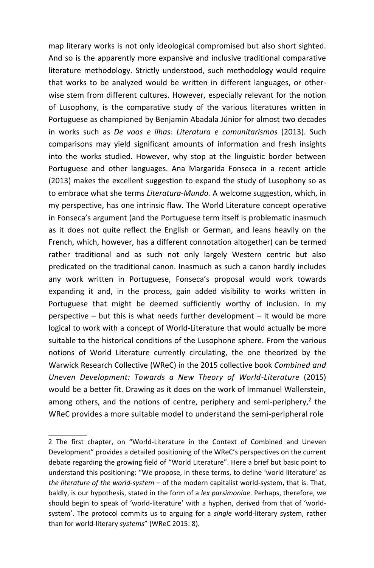map literary works is not only ideological compromised but also short sighted. And so is the apparently more expansive and inclusive traditional comparative literature methodology. Strictly understood, such methodology would require that works to be analyzed would be written in different languages, or otherwise stem from different cultures. However, especially relevant for the notion of Lusophony, is the comparative study of the various literatures written in Portuguese as championed by Benjamin Abadala Júnior for almost two decades in works such as *De voos e ilhas: Literatura e comunitarismos* (2013). Such comparisons may yield significant amounts of information and fresh insights into the works studied. However, why stop at the linguistic border between Portuguese and other languages. Ana Margarida Fonseca in a recent article (2013) makes the excellent suggestion to expand the study of Lusophony so as to embrace what she terms *Literatura-Mundo.* A welcome suggestion, which, in my perspective, has one intrinsic flaw. The World Literature concept operative in Fonseca's argument (and the Portuguese term itself is problematic inasmuch as it does not quite reflect the English or German, and leans heavily on the French, which, however, has a different connotation altogether) can be termed rather traditional and as such not only largely Western centric but also predicated on the traditional canon. Inasmuch as such a canon hardly includes any work written in Portuguese, Fonseca's proposal would work towards expanding it and, in the process, gain added visibility to works written in Portuguese that might be deemed sufficiently worthy of inclusion. In my perspective – but this is what needs further development – it would be more logical to work with a concept of World-Literature that would actually be more suitable to the historical conditions of the Lusophone sphere. From the various notions of World Literature currently circulating, the one theorized by the Warwick Research Collective (WReC) in the 2015 collective book *Combined and Uneven Development: Towards a New Theory of World-Literature* (2015) would be a better fit. Drawing as it does on the work of Immanuel Wallerstein, among others, and the notions of centre, periphery and semi-periphery, $2$  the WReC provides a more suitable model to understand the semi-peripheral role

<sup>2</sup> The first chapter, on "World-Literature in the Context of Combined and Uneven Development" provides a detailed positioning of the WReC's perspectives on the current debate regarding the growing field of "World Literature". Here a brief but basic point to understand this positioning: "We propose, in these terms, to define 'world literature' as *the literature of the world-system* – of the modern capitalist world-system, that is. That, baldly, is our hypothesis, stated in the form of a *lex parsimoniae*. Perhaps, therefore, we should begin to speak of 'world-literature' with a hyphen, derived from that of 'worldsystem'. The protocol commits us to arguing for a *single* world-literary system, rather than for world-literary *systems*" (WReC 2015: 8).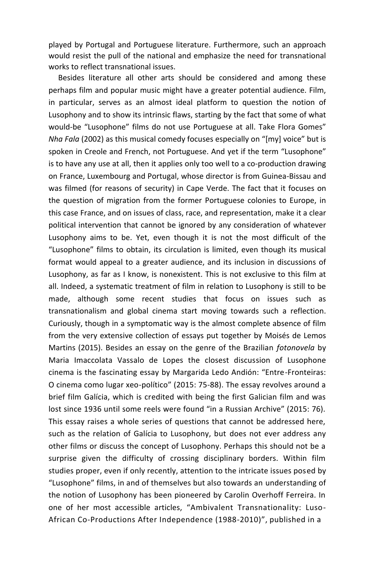played by Portugal and Portuguese literature. Furthermore, such an approach would resist the pull of the national and emphasize the need for transnational works to reflect transnational issues.

Besides literature all other arts should be considered and among these perhaps film and popular music might have a greater potential audience. Film, in particular, serves as an almost ideal platform to question the notion of Lusophony and to show its intrinsic flaws, starting by the fact that some of what would-be "Lusophone" films do not use Portuguese at all. Take Flora Gomes" *Nha Fala* (2002) as this musical comedy focuses especially on "[my] voice" but is spoken in Creole and French, not Portuguese. And yet if the term "Lusophone" is to have any use at all, then it applies only too well to a co-production drawing on France, Luxembourg and Portugal, whose director is from Guinea-Bissau and was filmed (for reasons of security) in Cape Verde. The fact that it focuses on the question of migration from the former Portuguese colonies to Europe, in this case France, and on issues of class, race, and representation, make it a clear political intervention that cannot be ignored by any consideration of whatever Lusophony aims to be. Yet, even though it is not the most difficult of the "Lusophone" films to obtain, its circulation is limited, even though its musical format would appeal to a greater audience, and its inclusion in discussions of Lusophony, as far as I know, is nonexistent. This is not exclusive to this film at all. Indeed, a systematic treatment of film in relation to Lusophony is still to be made, although some recent studies that focus on issues such as transnationalism and global cinema start moving towards such a reflection. Curiously, though in a symptomatic way is the almost complete absence of film from the very extensive collection of essays put together by Moisés de Lemos Martins (2015). Besides an essay on the genre of the Brazilian *fotonovela* by Maria Imaccolata Vassalo de Lopes the closest discussion of Lusophone cinema is the fascinating essay by Margarida Ledo Andión: "Entre-Fronteiras: O cinema como lugar xeo-político" (2015: 75-88). The essay revolves around a brief film Galícia, which is credited with being the first Galician film and was lost since 1936 until some reels were found "in a Russian Archive" (2015: 76). This essay raises a whole series of questions that cannot be addressed here, such as the relation of Galícia to Lusophony, but does not ever address any other films or discuss the concept of Lusophony. Perhaps this should not be a surprise given the difficulty of crossing disciplinary borders. Within film studies proper, even if only recently, attention to the intricate issues posed by "Lusophone" films, in and of themselves but also towards an understanding of the notion of Lusophony has been pioneered by Carolin Overhoff Ferreira. In one of her most accessible articles, "Ambivalent Transnationality: Luso-African Co-Productions After Independence (1988-2010)", published in a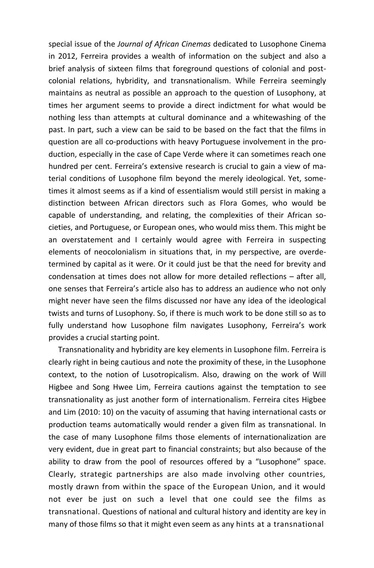special issue of the *Journal of African Cinemas* dedicated to Lusophone Cinema in 2012, Ferreira provides a wealth of information on the subject and also a brief analysis of sixteen films that foreground questions of colonial and postcolonial relations, hybridity, and transnationalism. While Ferreira seemingly maintains as neutral as possible an approach to the question of Lusophony, at times her argument seems to provide a direct indictment for what would be nothing less than attempts at cultural dominance and a whitewashing of the past. In part, such a view can be said to be based on the fact that the films in question are all co-productions with heavy Portuguese involvement in the production, especially in the case of Cape Verde where it can sometimes reach one hundred per cent. Ferreira's extensive research is crucial to gain a view of material conditions of Lusophone film beyond the merely ideological. Yet, sometimes it almost seems as if a kind of essentialism would still persist in making a distinction between African directors such as Flora Gomes, who would be capable of understanding, and relating, the complexities of their African societies, and Portuguese, or European ones, who would miss them. This might be an overstatement and I certainly would agree with Ferreira in suspecting elements of neocolonialism in situations that, in my perspective, are overdetermined by capital as it were. Or it could just be that the need for brevity and condensation at times does not allow for more detailed reflections – after all, one senses that Ferreira's article also has to address an audience who not only might never have seen the films discussed nor have any idea of the ideological twists and turns of Lusophony. So, if there is much work to be done still so as to fully understand how Lusophone film navigates Lusophony, Ferreira's work provides a crucial starting point.

Transnationality and hybridity are key elements in Lusophone film. Ferreira is clearly right in being cautious and note the proximity of these, in the Lusophone context, to the notion of Lusotropicalism. Also, drawing on the work of Will Higbee and Song Hwee Lim, Ferreira cautions against the temptation to see transnationality as just another form of internationalism. Ferreira cites Higbee and Lim (2010: 10) on the vacuity of assuming that having international casts or production teams automatically would render a given film as transnational. In the case of many Lusophone films those elements of internationalization are very evident, due in great part to financial constraints; but also because of the ability to draw from the pool of resources offered by a "Lusophone" space. Clearly, strategic partnerships are also made involving other countries, mostly drawn from within the space of the European Union, and it would not ever be just on such a level that one could see the films as transnational. Questions of national and cultural history and identity are key in many of those films so that it might even seem as any hints at a transnational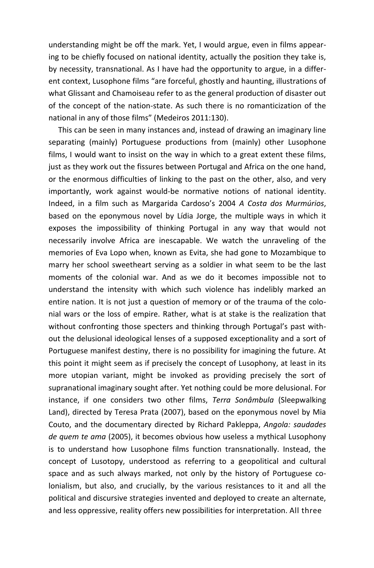understanding might be off the mark. Yet, I would argue, even in films appearing to be chiefly focused on national identity, actually the position they take is, by necessity, transnational. As I have had the opportunity to argue, in a different context, Lusophone films "are forceful, ghostly and haunting, illustrations of what Glissant and Chamoiseau refer to as the general production of disaster out of the concept of the nation-state. As such there is no romanticization of the national in any of those films" (Medeiros 2011:130).

This can be seen in many instances and, instead of drawing an imaginary line separating (mainly) Portuguese productions from (mainly) other Lusophone films, I would want to insist on the way in which to a great extent these films, just as they work out the fissures between Portugal and Africa on the one hand, or the enormous difficulties of linking to the past on the other, also, and very importantly, work against would-be normative notions of national identity. Indeed, in a film such as Margarida Cardoso's 2004 *A Costa dos Murmúrios*, based on the eponymous novel by Lídia Jorge, the multiple ways in which it exposes the impossibility of thinking Portugal in any way that would not necessarily involve Africa are inescapable. We watch the unraveling of the memories of Eva Lopo when, known as Evita, she had gone to Mozambique to marry her school sweetheart serving as a soldier in what seem to be the last moments of the colonial war. And as we do it becomes impossible not to understand the intensity with which such violence has indelibly marked an entire nation. It is not just a question of memory or of the trauma of the colonial wars or the loss of empire. Rather, what is at stake is the realization that without confronting those specters and thinking through Portugal's past without the delusional ideological lenses of a supposed exceptionality and a sort of Portuguese manifest destiny, there is no possibility for imagining the future. At this point it might seem as if precisely the concept of Lusophony, at least in its more utopian variant, might be invoked as providing precisely the sort of supranational imaginary sought after. Yet nothing could be more delusional. For instance, if one considers two other films, *Terra Sonâmbula* (Sleepwalking Land), directed by Teresa Prata (2007), based on the eponymous novel by Mia Couto, and the documentary directed by Richard Pakleppa, *Angola: saudades de quem te ama* (2005), it becomes obvious how useless a mythical Lusophony is to understand how Lusophone films function transnationally. Instead, the concept of Lusotopy, understood as referring to a geopolitical and cultural space and as such always marked, not only by the history of Portuguese colonialism, but also, and crucially, by the various resistances to it and all the political and discursive strategies invented and deployed to create an alternate, and less oppressive, reality offers new possibilities for interpretation. All three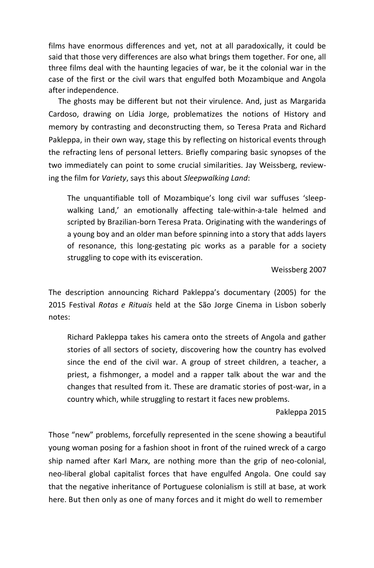films have enormous differences and yet, not at all paradoxically, it could be said that those very differences are also what brings them together. For one, all three films deal with the haunting legacies of war, be it the colonial war in the case of the first or the civil wars that engulfed both Mozambique and Angola after independence.

The ghosts may be different but not their virulence. And, just as Margarida Cardoso, drawing on Lídia Jorge, problematizes the notions of History and memory by contrasting and deconstructing them, so Teresa Prata and Richard Pakleppa, in their own way, stage this by reflecting on historical events through the refracting lens of personal letters. Briefly comparing basic synopses of the two immediately can point to some crucial similarities. Jay Weissberg, reviewing the film for *Variety*, says this about *Sleepwalking Land*:

The unquantifiable toll of Mozambique's long civil war suffuses 'sleepwalking Land,' an emotionally affecting tale-within-a-tale helmed and scripted by Brazilian-born Teresa Prata. Originating with the wanderings of a young boy and an older man before spinning into a story that adds layers of resonance, this long-gestating pic works as a parable for a society struggling to cope with its evisceration.

Weissberg 2007

The description announcing Richard Pakleppa's documentary (2005) for the 2015 Festival *Rotas e Rituais* held at the São Jorge Cinema in Lisbon soberly notes:

Richard Pakleppa takes his camera onto the streets of Angola and gather stories of all sectors of society, discovering how the country has evolved since the end of the civil war. A group of street children, a teacher, a priest, a fishmonger, a model and a rapper talk about the war and the changes that resulted from it. These are dramatic stories of post-war, in a country which, while struggling to restart it faces new problems.

Pakleppa 2015

Those "new" problems, forcefully represented in the scene showing a beautiful young woman posing for a fashion shoot in front of the ruined wreck of a cargo ship named after Karl Marx, are nothing more than the grip of neo-colonial, neo-liberal global capitalist forces that have engulfed Angola. One could say that the negative inheritance of Portuguese colonialism is still at base, at work here. But then only as one of many forces and it might do well to remember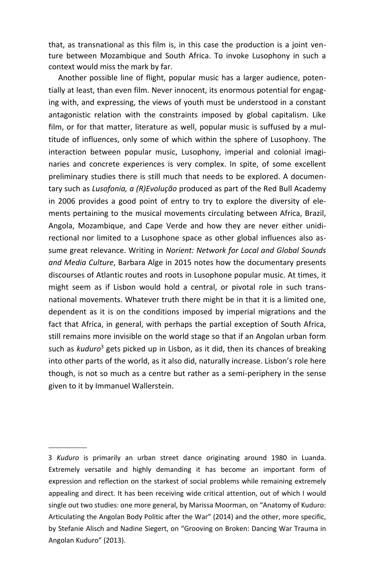that, as transnational as this film is, in this case the production is a joint venture between Mozambique and South Africa. To invoke Lusophony in such a context would miss the mark by far.

Another possible line of flight, popular music has a larger audience, potentially at least, than even film. Never innocent, its enormous potential for engaging with, and expressing, the views of youth must be understood in a constant antagonistic relation with the constraints imposed by global capitalism. Like film, or for that matter, literature as well, popular music is suffused by a multitude of influences, only some of which within the sphere of Lusophony. The interaction between popular music, Lusophony, imperial and colonial imaginaries and concrete experiences is very complex. In spite, of some excellent preliminary studies there is still much that needs to be explored. A documentary such as *Lusofonia, a (R)Evolução* produced as part of the Red Bull Academy in 2006 provides a good point of entry to try to explore the diversity of elements pertaining to the musical movements circulating between Africa, Brazil, Angola, Mozambique, and Cape Verde and how they are never either unidirectional nor limited to a Lusophone space as other global influences also assume great relevance. Writing in *Norient: Network for Local and Global Sounds and Media Culture*, Barbara Alge in 2015 notes how the documentary presents discourses of Atlantic routes and roots in Lusophone popular music. At times, it might seem as if Lisbon would hold a central, or pivotal role in such transnational movements. Whatever truth there might be in that it is a limited one, dependent as it is on the conditions imposed by imperial migrations and the fact that Africa, in general, with perhaps the partial exception of South Africa, still remains more invisible on the world stage so that if an Angolan urban form such as *kuduro*<sup>3</sup> gets picked up in Lisbon, as it did, then its chances of breaking into other parts of the world, as it also did, naturally increase. Lisbon's role here though, is not so much as a centre but rather as a semi-periphery in the sense given to it by Immanuel Wallerstein.

<sup>3</sup> *Kuduro* is primarily an urban street dance originating around 1980 in Luanda. Extremely versatile and highly demanding it has become an important form of expression and reflection on the starkest of social problems while remaining extremely appealing and direct. It has been receiving wide critical attention, out of which I would single out two studies: one more general, by Marissa Moorman, on "Anatomy of Kuduro: Articulating the Angolan Body Politic after the War" (2014) and the other, more specific, by Stefanie Alisch and Nadine Siegert, on "Grooving on Broken: Dancing War Trauma in Angolan Kuduro" (2013).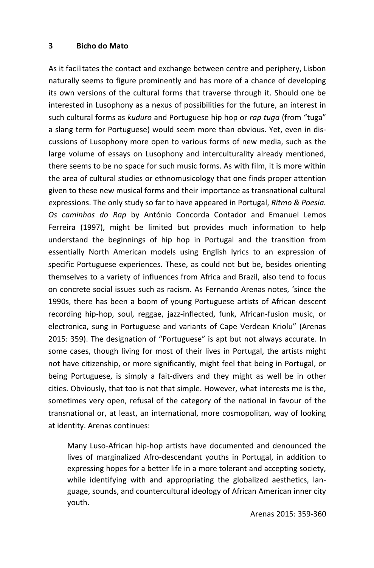#### **3 Bicho do Mato**

As it facilitates the contact and exchange between centre and periphery, Lisbon naturally seems to figure prominently and has more of a chance of developing its own versions of the cultural forms that traverse through it. Should one be interested in Lusophony as a nexus of possibilities for the future, an interest in such cultural forms as *kuduro* and Portuguese hip hop or *rap tuga* (from "tuga" a slang term for Portuguese) would seem more than obvious. Yet, even in discussions of Lusophony more open to various forms of new media, such as the large volume of essays on Lusophony and interculturality already mentioned, there seems to be no space for such music forms. As with film, it is more within the area of cultural studies or ethnomusicology that one finds proper attention given to these new musical forms and their importance as transnational cultural expressions. The only study so far to have appeared in Portugal, *Ritmo & Poesia. Os caminhos do Rap* by António Concorda Contador and Emanuel Lemos Ferreira (1997), might be limited but provides much information to help understand the beginnings of hip hop in Portugal and the transition from essentially North American models using English lyrics to an expression of specific Portuguese experiences. These, as could not but be, besides orienting themselves to a variety of influences from Africa and Brazil, also tend to focus on concrete social issues such as racism. As Fernando Arenas notes, 'since the 1990s, there has been a boom of young Portuguese artists of African descent recording hip-hop, soul, reggae, jazz-inflected, funk, African-fusion music, or electronica, sung in Portuguese and variants of Cape Verdean Kriolu" (Arenas 2015: 359). The designation of "Portuguese" is apt but not always accurate. In some cases, though living for most of their lives in Portugal, the artists might not have citizenship, or more significantly, might feel that being in Portugal, or being Portuguese, is simply a fait-divers and they might as well be in other cities. Obviously, that too is not that simple. However, what interests me is the, sometimes very open, refusal of the category of the national in favour of the transnational or, at least, an international, more cosmopolitan, way of looking at identity. Arenas continues:

Many Luso-African hip-hop artists have documented and denounced the lives of marginalized Afro-descendant youths in Portugal, in addition to expressing hopes for a better life in a more tolerant and accepting society, while identifying with and appropriating the globalized aesthetics, language, sounds, and countercultural ideology of African American inner city youth.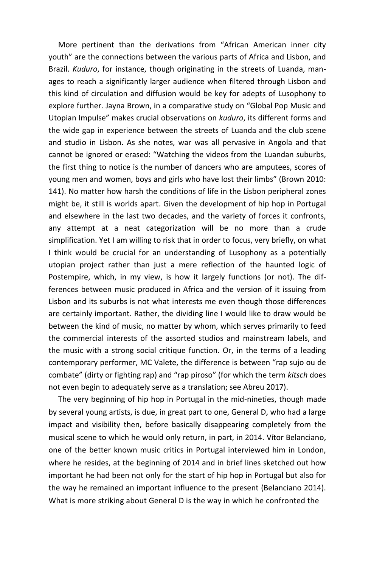More pertinent than the derivations from "African American inner city youth" are the connections between the various parts of Africa and Lisbon, and Brazil. *Kuduro*, for instance, though originating in the streets of Luanda, manages to reach a significantly larger audience when filtered through Lisbon and this kind of circulation and diffusion would be key for adepts of Lusophony to explore further. Jayna Brown, in a comparative study on "Global Pop Music and Utopian Impulse" makes crucial observations on *kuduro*, its different forms and the wide gap in experience between the streets of Luanda and the club scene and studio in Lisbon. As she notes, war was all pervasive in Angola and that cannot be ignored or erased: "Watching the videos from the Luandan suburbs, the first thing to notice is the number of dancers who are amputees, scores of young men and women, boys and girls who have lost their limbs" (Brown 2010: 141). No matter how harsh the conditions of life in the Lisbon peripheral zones might be, it still is worlds apart. Given the development of hip hop in Portugal and elsewhere in the last two decades, and the variety of forces it confronts, any attempt at a neat categorization will be no more than a crude simplification. Yet I am willing to risk that in order to focus, very briefly, on what I think would be crucial for an understanding of Lusophony as a potentially utopian project rather than just a mere reflection of the haunted logic of Postempire, which, in my view, is how it largely functions (or not). The differences between music produced in Africa and the version of it issuing from Lisbon and its suburbs is not what interests me even though those differences are certainly important. Rather, the dividing line I would like to draw would be between the kind of music, no matter by whom, which serves primarily to feed the commercial interests of the assorted studios and mainstream labels, and the music with a strong social critique function. Or, in the terms of a leading contemporary performer, MC Valete, the difference is between "rap sujo ou de combate" (dirty or fighting rap) and "rap piroso" (for which the term *kitsch* does not even begin to adequately serve as a translation; see Abreu 2017).

The very beginning of hip hop in Portugal in the mid-nineties, though made by several young artists, is due, in great part to one, General D, who had a large impact and visibility then, before basically disappearing completely from the musical scene to which he would only return, in part, in 2014. Vítor Belanciano, one of the better known music critics in Portugal interviewed him in London, where he resides, at the beginning of 2014 and in brief lines sketched out how important he had been not only for the start of hip hop in Portugal but also for the way he remained an important influence to the present (Belanciano 2014). What is more striking about General D is the way in which he confronted the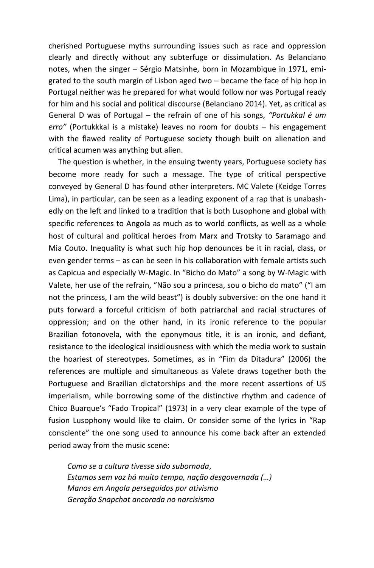cherished Portuguese myths surrounding issues such as race and oppression clearly and directly without any subterfuge or dissimulation. As Belanciano notes, when the singer – Sérgio Matsinhe, born in Mozambique in 1971, emigrated to the south margin of Lisbon aged two – became the face of hip hop in Portugal neither was he prepared for what would follow nor was Portugal ready for him and his social and political discourse (Belanciano 2014). Yet, as critical as General D was of Portugal – the refrain of one of his songs, *"Portukkal é um erro"* (Portukkkal is a mistake) leaves no room for doubts – his engagement with the flawed reality of Portuguese society though built on alienation and critical acumen was anything but alien.

The question is whether, in the ensuing twenty years, Portuguese society has become more ready for such a message. The type of critical perspective conveyed by General D has found other interpreters. MC Valete (Keidge Torres Lima), in particular, can be seen as a leading exponent of a rap that is unabashedly on the left and linked to a tradition that is both Lusophone and global with specific references to Angola as much as to world conflicts, as well as a whole host of cultural and political heroes from Marx and Trotsky to Saramago and Mia Couto. Inequality is what such hip hop denounces be it in racial, class, or even gender terms – as can be seen in his collaboration with female artists such as Capicua and especially W-Magic. In "Bicho do Mato" a song by W-Magic with Valete, her use of the refrain, "Não sou a princesa, sou o bicho do mato" ("I am not the princess, I am the wild beast") is doubly subversive: on the one hand it puts forward a forceful criticism of both patriarchal and racial structures of oppression; and on the other hand, in its ironic reference to the popular Brazilian fotonovela, with the eponymous title, it is an ironic, and defiant, resistance to the ideological insidiousness with which the media work to sustain the hoariest of stereotypes. Sometimes, as in "Fim da Ditadura" (2006) the references are multiple and simultaneous as Valete draws together both the Portuguese and Brazilian dictatorships and the more recent assertions of US imperialism, while borrowing some of the distinctive rhythm and cadence of Chico Buarque's "Fado Tropical" (1973) in a very clear example of the type of fusion Lusophony would like to claim. Or consider some of the lyrics in "Rap consciente" the one song used to announce his come back after an extended period away from the music scene:

*Como se a cultura tivesse sido subornada*, *Estamos sem voz há muito tempo, nação desgovernada (…) Manos em Angola perseguidos por ativismo Geração Snapchat ancorada no narcisismo*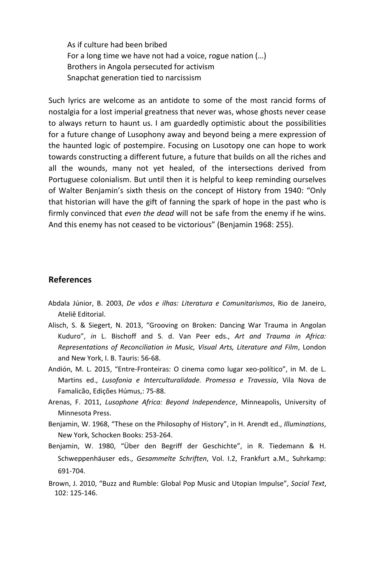As if culture had been bribed For a long time we have not had a voice, rogue nation (…) Brothers in Angola persecuted for activism Snapchat generation tied to narcissism

Such lyrics are welcome as an antidote to some of the most rancid forms of nostalgia for a lost imperial greatness that never was, whose ghosts never cease to always return to haunt us. I am guardedly optimistic about the possibilities for a future change of Lusophony away and beyond being a mere expression of the haunted logic of postempire. Focusing on Lusotopy one can hope to work towards constructing a different future, a future that builds on all the riches and all the wounds, many not yet healed, of the intersections derived from Portuguese colonialism. But until then it is helpful to keep reminding ourselves of Walter Benjamin's sixth thesis on the concept of History from 1940: "Only that historian will have the gift of fanning the spark of hope in the past who is firmly convinced that *even the dead* will not be safe from the enemy if he wins. And this enemy has not ceased to be victorious" (Benjamin 1968: 255).

#### **References**

- Abdala Júnior, B. 2003, *De vôos e ilhas: Literatura e Comunitarismos*, Rio de Janeiro, Ateliê Editorial.
- Alisch, S. & Siegert, N. 2013, "Grooving on Broken: Dancing War Trauma in Angolan Kuduro", *in* L. Bischoff and S. d. Van Peer eds., *Art and Trauma in Africa: Representations of Reconciliation in Music, Visual Arts, Literature and Film*, London and New York, I. B. Tauris: 56-68.
- Andión, M. L. 2015, "Entre-Fronteiras: O cinema como lugar xeo-político", in M. de L. Martins ed., *Lusofonia e Interculturalidade. Promessa e Travessia*, Vila Nova de Famalicão, Edições Húmus,: 75-88.
- Arenas, F. 2011, *Lusophone Africa: Beyond Independence*, Minneapolis, University of Minnesota Press.
- Benjamin, W. 1968, "These on the Philosophy of History", in H. Arendt ed., *Illuminations*, New York, Schocken Books: 253-264.
- Benjamin, W. 1980, "Über den Begriff der Geschichte", in R. Tiedemann & H. Schweppenhäuser eds., *Gesammelte Schriften*, Vol. I.2, Frankfurt a.M., Suhrkamp: 691-704.
- Brown, J. 2010, "Buzz and Rumble: Global Pop Music and Utopian Impulse", *Social Text*,  $102.125 - 146$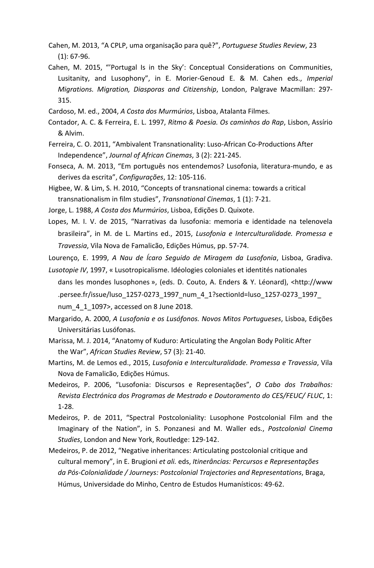- Cahen, M. 2013, "A CPLP, uma organisação para quê?", *Portuguese Studies Review*, 23 (1): 67-96.
- Cahen, M. 2015, "'Portugal Is in the Sky': Conceptual Considerations on Communities, Lusitanity, and Lusophony", in E. Morier-Genoud E. & M. Cahen eds., *Imperial Migrations. Migration, Diasporas and Citizenship*, London, Palgrave Macmillan: 297- 315.

Cardoso, M. ed., 2004, *A Costa dos Murmúrios*, Lisboa, Atalanta Filmes.

- Contador, A. C. & Ferreira, E. L. 1997, *Ritmo & Poesia. Os caminhos do Rap*, Lisbon, Assírio & Alvim.
- Ferreira, C. O. 2011, "Ambivalent Transnationality: Luso-African Co-Productions After Independence", *Journal of African Cinemas*, 3 (2): 221-245.
- Fonseca, A. M. 2013, "Em português nos entendemos? Lusofonia, literatura-mundo, e as derives da escrita", *Configurações*, 12: 105-116.

Higbee, W. & Lim, S. H. 2010, "Concepts of transnational cinema: towards a critical transnationalism in film studies", *Transnational Cinemas*, 1 (1): 7-21.

Jorge, L. 1988, *A Costa dos Murmúrios*, Lisboa, Edições D. Quixote.

Lopes, M. I. V. de 2015, "Narrativas da lusofonia: memoria e identidade na telenovela brasileira", in M. de L. Martins ed., 2015, *Lusofonia e Interculturalidade. Promessa e Travessia*, Vila Nova de Famalicão, Edições Húmus, pp. 57-74.

Lourenço, E. 1999, *A Nau de Ícaro Seguido de Miragem da Lusofonia*, Lisboa, Gradiva. *Lusotopie IV*, 1997, « Lusotropicalisme. Idéologies coloniales et identités nationales

dans les mondes lusophones », (eds. D. Couto, A. Enders & Y. Léonard), <http://www .persee.fr/issue/luso\_1257-0273\_1997\_num\_4\_1?sectionId=luso\_1257-0273\_1997\_ num 4 1 1097>, accessed on 8 June 2018.

Margarido, A. 2000, *A Lusofonia e os Lusófonos. Novos Mitos Portugueses*, Lisboa, Edições Universitárias Lusófonas.

- Marissa, M. J. 2014, "Anatomy of Kuduro: Articulating the Angolan Body Politic After the War", *African Studies Review*, 57 (3): 21-40.
- Martins, M. de Lemos ed., 2015, *Lusofonia e Interculturalidade. Promessa e Travessia*, Vila Nova de Famalicão, Edições Húmus.
- Medeiros, P. 2006, "Lusofonia: Discursos e Representações", *O Cabo dos Trabalhos: Revista Electrónica dos Programas de Mestrado e Doutoramento do CES/FEUC/ FLUC*, 1: 1-28.
- Medeiros, P. de 2011, "Spectral Postcoloniality: Lusophone Postcolonial Film and the Imaginary of the Nation", in S. Ponzanesi and M. Waller eds., *Postcolonial Cinema Studies*, London and New York, Routledge: 129-142.
- Medeiros, P. de 2012, "Negative inheritances: Articulating postcolonial critique and cultural memory", in E. Brugioni *et ali.* eds, *Itinerâncias: Percursos e Representações da Pós-Colonialidade / Journeys: Postcolonial Trajectories and Representations*, Braga, Húmus, Universidade do Minho, Centro de Estudos Humanísticos: 49-62.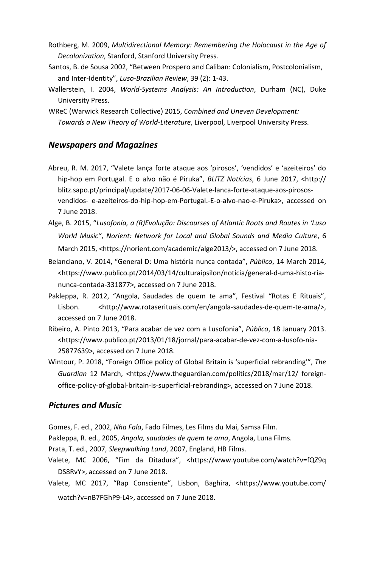- Rothberg, M. 2009, *Multidirectional Memory: Remembering the Holocaust in the Age of Decolonization*, Stanford, Stanford University Press.
- Santos, B. de Sousa 2002, "Between Prospero and Caliban: Colonialism, Postcolonialism, and Inter-Identity", *Luso-Brazilian Review*, 39 (2): 1-43.
- Wallerstein, I. 2004, *World-Systems Analysis: An Introduction*, Durham (NC), Duke University Press.
- WReC (Warwick Research Collective) 2015, *Combined and Uneven Development: Towards a New Theory of World-Literature*, Liverpool, Liverpool University Press.

#### *Newspapers and Magazines*

- Abreu, R. M. 2017, "Valete lança forte ataque aos 'pirosos', 'vendidos' e 'azeiteiros' do hip-hop em Portugal. E o alvo não é Piruka", *BLITZ Notícias*, 6 June 2017, <http:// blitz.sapo.pt/principal/update/2017-06-06-Valete-lanca-forte-ataque-aos-pirososvendidos- e-azeiteiros-do-hip-hop-em-Portugal.-E-o-alvo-nao-e-Piruka>, accessed on 7 June 2018.
- Alge, B. 2015, "*Lusofonia, a (R)Evolução: Discourses of Atlantic Roots and Routes in 'Luso World Music"*, *Norient: Network for Local and Global Sounds and Media Culture*, 6 March 2015, <https://norient.com/academic/alge2013/>, accessed on 7 June 2018.
- Belanciano, V. 2014, "General D: Uma história nunca contada", *Público*, 14 March 2014, <https://www.publico.pt/2014/03/14/culturaipsilon/noticia/general-d-uma-histo-rianunca-contada-331877>, accessed on 7 June 2018.
- Pakleppa, R. 2012, "Angola, Saudades de quem te ama", Festival "Rotas E Rituais", Lisbon. <http://www.rotaserituais.com/en/angola-saudades-de-quem-te-ama/>, accessed on 7 June 2018.
- Ribeiro, A. Pinto 2013, "Para acabar de vez com a Lusofonia", *Público*, 18 January 2013. <https://www.publico.pt/2013/01/18/jornal/para-acabar-de-vez-com-a-lusofo-nia-25877639>, accessed on 7 June 2018.
- Wintour, P. 2018, "Foreign Office policy of Global Britain is 'superficial rebranding'", *The Guardian* 12 March, <https://www.theguardian.com/politics/2018/mar/12/ foreignoffice-policy-of-global-britain-is-superficial-rebranding>, accessed on 7 June 2018.

## *Pictures and Music*

Gomes, F. ed., 2002, *Nha Fala*, Fado Filmes, Les Films du Mai, Samsa Film.

Pakleppa, R. ed., 2005, *Angola, saudades de quem te ama*, Angola, Luna Films.

- Prata, T. ed., 2007, *Sleepwalking Land*, 2007, England, HB Films.
- Valete, MC 2006, "Fim da Ditadura", <https://www.youtube.com/watch?v=fQZ9q DS8RvY>, accessed on 7 June 2018.
- Valete, MC 2017, "Rap Consciente", Lisbon, Baghira, <https://www.youtube.com/ watch?v=nB7FGhP9-L4>, accessed on 7 June 2018.